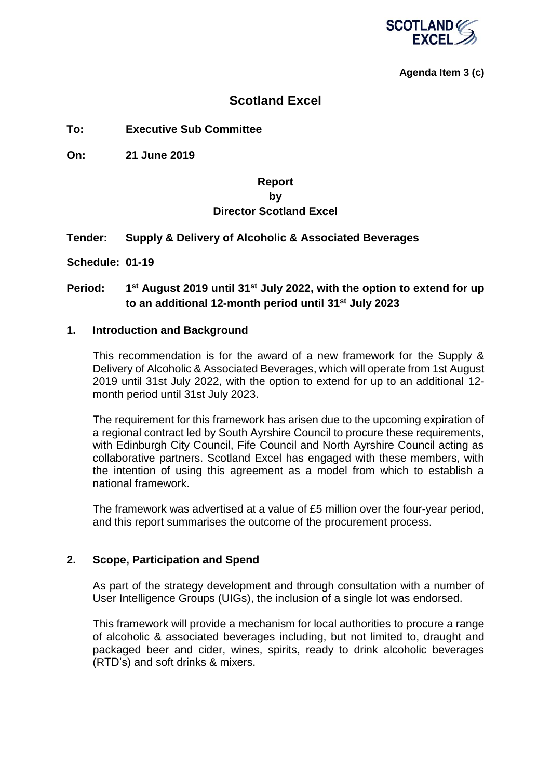

#### **Agenda Item 3 (c)**

### **Scotland Excel**

#### **To: Executive Sub Committee**

**On: 21 June 2019**

### **Report by Director Scotland Excel**

#### **Tender: Supply & Delivery of Alcoholic & Associated Beverages**

**Schedule: 01-19**

#### **Period: 1 st August 2019 until 31st July 2022, with the option to extend for up to an additional 12-month period until 31st July 2023**

#### **1. Introduction and Background**

This recommendation is for the award of a new framework for the Supply & Delivery of Alcoholic & Associated Beverages, which will operate from 1st August 2019 until 31st July 2022, with the option to extend for up to an additional 12 month period until 31st July 2023.

The requirement for this framework has arisen due to the upcoming expiration of a regional contract led by South Ayrshire Council to procure these requirements, with Edinburgh City Council, Fife Council and North Ayrshire Council acting as collaborative partners. Scotland Excel has engaged with these members, with the intention of using this agreement as a model from which to establish a national framework.

The framework was advertised at a value of £5 million over the four-year period, and this report summarises the outcome of the procurement process.

#### **2. Scope, Participation and Spend**

As part of the strategy development and through consultation with a number of User Intelligence Groups (UIGs), the inclusion of a single lot was endorsed.

This framework will provide a mechanism for local authorities to procure a range of alcoholic & associated beverages including, but not limited to, draught and packaged beer and cider, wines, spirits, ready to drink alcoholic beverages (RTD's) and soft drinks & mixers.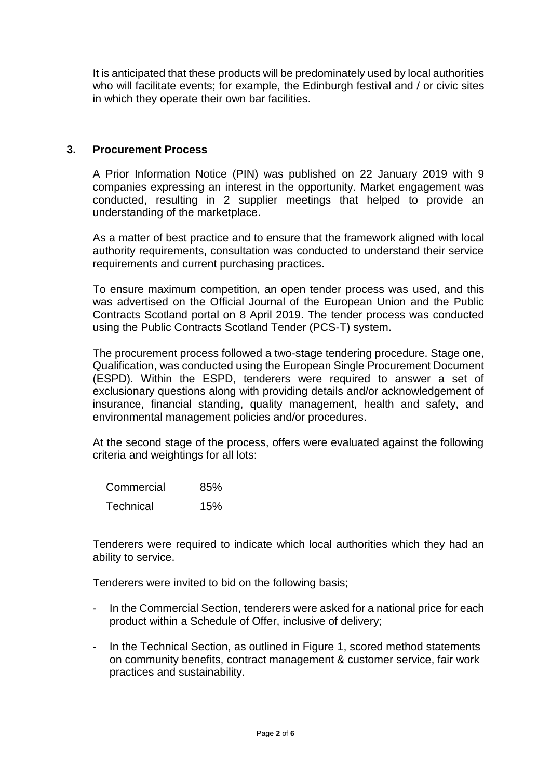It is anticipated that these products will be predominately used by local authorities who will facilitate events; for example, the Edinburgh festival and / or civic sites in which they operate their own bar facilities.

#### **3. Procurement Process**

A Prior Information Notice (PIN) was published on 22 January 2019 with 9 companies expressing an interest in the opportunity. Market engagement was conducted, resulting in 2 supplier meetings that helped to provide an understanding of the marketplace.

As a matter of best practice and to ensure that the framework aligned with local authority requirements, consultation was conducted to understand their service requirements and current purchasing practices.

To ensure maximum competition, an open tender process was used, and this was advertised on the Official Journal of the European Union and the Public Contracts Scotland portal on 8 April 2019. The tender process was conducted using the Public Contracts Scotland Tender (PCS-T) system.

The procurement process followed a two-stage tendering procedure. Stage one, Qualification, was conducted using the European Single Procurement Document (ESPD). Within the ESPD, tenderers were required to answer a set of exclusionary questions along with providing details and/or acknowledgement of insurance, financial standing, quality management, health and safety, and environmental management policies and/or procedures.

At the second stage of the process, offers were evaluated against the following criteria and weightings for all lots:

| Commercial | 85% |
|------------|-----|
| Technical  | 15% |

Tenderers were required to indicate which local authorities which they had an ability to service.

Tenderers were invited to bid on the following basis;

- In the Commercial Section, tenderers were asked for a national price for each product within a Schedule of Offer, inclusive of delivery;
- In the Technical Section, as outlined in Figure 1, scored method statements on community benefits, contract management & customer service, fair work practices and sustainability.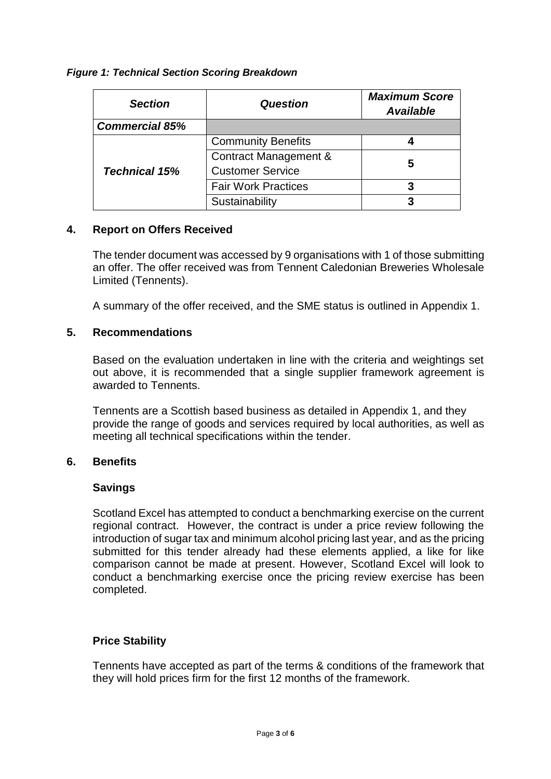#### *Figure 1: Technical Section Scoring Breakdown*

| <b>Section</b>        | <b>Question</b>                  | <b>Maximum Score</b><br><b>Available</b> |
|-----------------------|----------------------------------|------------------------------------------|
| <b>Commercial 85%</b> |                                  |                                          |
| <b>Technical 15%</b>  | <b>Community Benefits</b>        |                                          |
|                       | <b>Contract Management &amp;</b> | 5                                        |
|                       | <b>Customer Service</b>          |                                          |
|                       | <b>Fair Work Practices</b>       |                                          |
|                       | Sustainability                   |                                          |

#### **4. Report on Offers Received**

The tender document was accessed by 9 organisations with 1 of those submitting an offer. The offer received was from Tennent Caledonian Breweries Wholesale Limited (Tennents).

A summary of the offer received, and the SME status is outlined in Appendix 1.

#### **5. Recommendations**

Based on the evaluation undertaken in line with the criteria and weightings set out above, it is recommended that a single supplier framework agreement is awarded to Tennents.

Tennents are a Scottish based business as detailed in Appendix 1, and they provide the range of goods and services required by local authorities, as well as meeting all technical specifications within the tender.

#### **6. Benefits**

#### **Savings**

Scotland Excel has attempted to conduct a benchmarking exercise on the current regional contract. However, the contract is under a price review following the introduction of sugar tax and minimum alcohol pricing last year, and as the pricing submitted for this tender already had these elements applied, a like for like comparison cannot be made at present. However, Scotland Excel will look to conduct a benchmarking exercise once the pricing review exercise has been completed.

#### **Price Stability**

Tennents have accepted as part of the terms & conditions of the framework that they will hold prices firm for the first 12 months of the framework.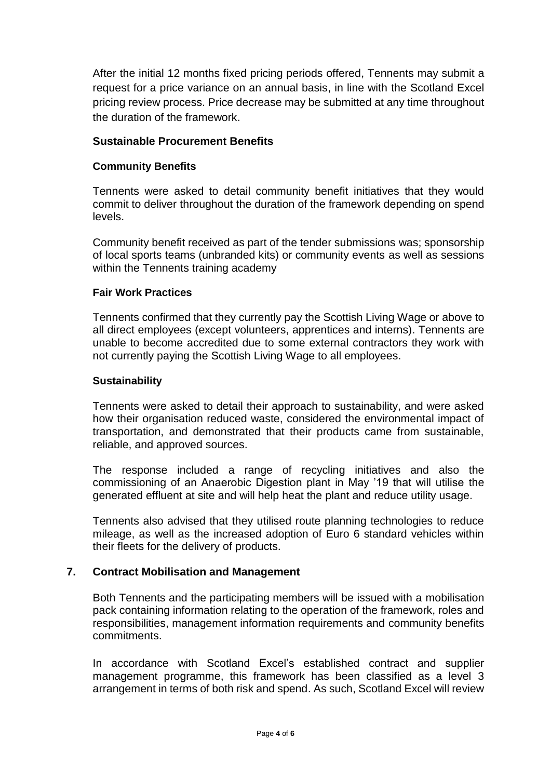After the initial 12 months fixed pricing periods offered, Tennents may submit a request for a price variance on an annual basis, in line with the Scotland Excel pricing review process. Price decrease may be submitted at any time throughout the duration of the framework.

### **Sustainable Procurement Benefits**

#### **Community Benefits**

Tennents were asked to detail community benefit initiatives that they would commit to deliver throughout the duration of the framework depending on spend levels.

Community benefit received as part of the tender submissions was; sponsorship of local sports teams (unbranded kits) or community events as well as sessions within the Tennents training academy

#### **Fair Work Practices**

Tennents confirmed that they currently pay the Scottish Living Wage or above to all direct employees (except volunteers, apprentices and interns). Tennents are unable to become accredited due to some external contractors they work with not currently paying the Scottish Living Wage to all employees.

#### **Sustainability**

Tennents were asked to detail their approach to sustainability, and were asked how their organisation reduced waste, considered the environmental impact of transportation, and demonstrated that their products came from sustainable, reliable, and approved sources.

The response included a range of recycling initiatives and also the commissioning of an Anaerobic Digestion plant in May '19 that will utilise the generated effluent at site and will help heat the plant and reduce utility usage.

Tennents also advised that they utilised route planning technologies to reduce mileage, as well as the increased adoption of Euro 6 standard vehicles within their fleets for the delivery of products.

#### **7. Contract Mobilisation and Management**

Both Tennents and the participating members will be issued with a mobilisation pack containing information relating to the operation of the framework, roles and responsibilities, management information requirements and community benefits commitments.

In accordance with Scotland Excel's established contract and supplier management programme, this framework has been classified as a level 3 arrangement in terms of both risk and spend. As such, Scotland Excel will review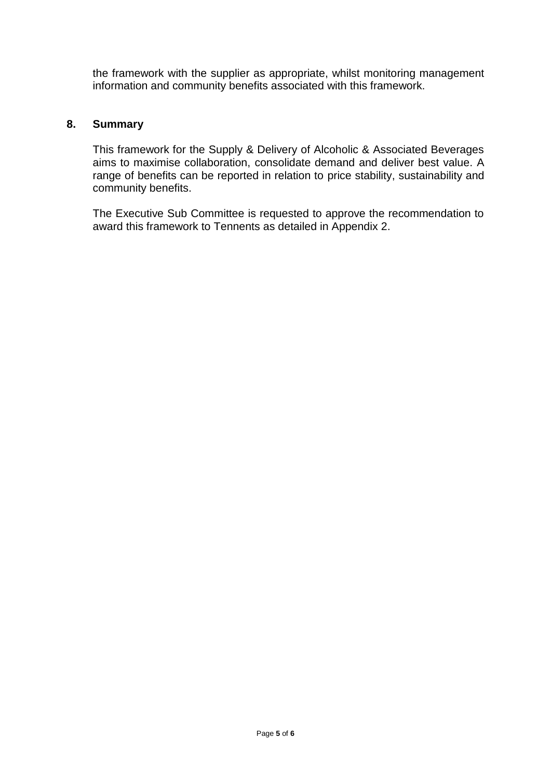the framework with the supplier as appropriate, whilst monitoring management information and community benefits associated with this framework.

#### **8. Summary**

This framework for the Supply & Delivery of Alcoholic & Associated Beverages aims to maximise collaboration, consolidate demand and deliver best value. A range of benefits can be reported in relation to price stability, sustainability and community benefits.

The Executive Sub Committee is requested to approve the recommendation to award this framework to Tennents as detailed in Appendix 2.